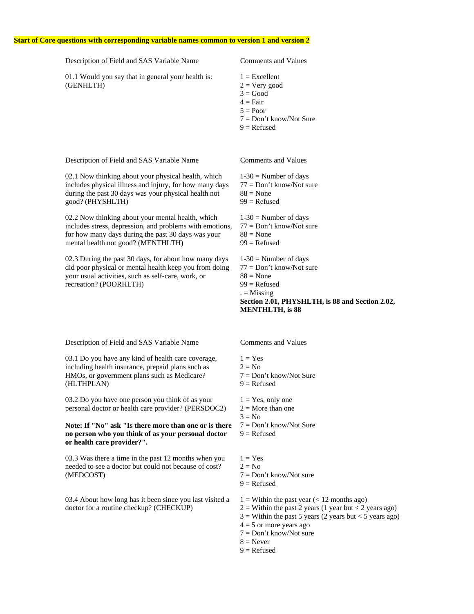#### **Start of Core questions with corresponding variable names common to version 1 and version 2**

Description of Field and SAS Variable Name Comments and Values 01.1 Would you say that in general your health is: (GENHLTH)  $1 =$ Excellent  $2 = V$ ery good  $3 = Good$  $4 = \text{Fair}$  $5 = Poor$ 7 = Don't know/Not Sure  $9 =$ Refused Description of Field and SAS Variable Name Comments and Values

02.1 Now thinking about your physical health, which includes physical illness and injury, for how many days during the past 30 days was your physical health not good? (PHYSHLTH)

02.2 Now thinking about your mental health, which includes stress, depression, and problems with emotions, for how many days during the past 30 days was your mental health not good? (MENTHLTH)

02.3 During the past 30 days, for about how many days did poor physical or mental health keep you from doing your usual activities, such as self-care, work, or recreation? (POORHLTH)

- $1-30$  = Number of days 77 = Don't know/Not sure
- $88$  = None  $99$  = Refused

 $1-30$  = Number of days 77 = Don't know/Not sure  $88$  = None  $99$  = Refused  $1-30$  = Number of days 77 = Don't know/Not sure  $88$  = None

 $99$  = Refused  $. =$  Missing

**Section 2.01, PHYSHLTH, is 88 and Section 2.02, MENTHLTH, is 88**

Description of Field and SAS Variable Name Comments and Values

03.1 Do you have any kind of health care coverage, including health insurance, prepaid plans such as HMOs, or government plans such as Medicare? (HLTHPLAN)

03.2 Do you have one person you think of as your personal doctor or health care provider? (PERSDOC2)

#### **Note: If "No" ask "Is there more than one or is there no person who you think of as your personal doctor or health care provider?".**

03.3 Was there a time in the past 12 months when you needed to see a doctor but could not because of cost? (MEDCOST)

03.4 About how long has it been since you last visited a doctor for a routine checkup? (CHECKUP)

- $1 = Yes$
- $2 = No$
- 7 = Don't know/Not Sure
- $9 =$ Refused
- $1 = Yes$ , only one
- $2 =$ More than one
- $3 = No$
- 7 = Don't know/Not Sure
- $9 =$ Refused
- $1 = Yes$
- $2 = No$
- $7 = Don't know/Not sure$
- $9 =$ Refused
- $1 =$  Within the past year (< 12 months ago)
- $2 =$  Within the past 2 years (1 year but < 2 years ago)
- $3 =$  Within the past 5 years (2 years but < 5 years ago)
- $4 = 5$  or more years ago
- $7 = Don't know/Not sure$
- $8 =$ Never
- $9 =$ Refused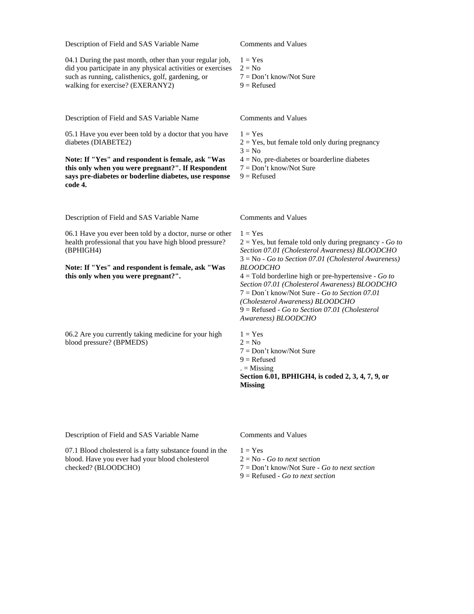04.1 During the past month, other than your regular job, did you participate in any physical activities or exercises such as running, calisthenics, golf, gardening, or walking for exercise? (EXERANY2)

Description of Field and SAS Variable Name Comments and Values

05.1 Have you ever been told by a doctor that you have diabetes (DIABETE2)

**Note: If "Yes" and respondent is female, ask "Was this only when you were pregnant?". If Respondent says pre-diabetes or boderline diabetes, use response code 4.**

Description of Field and SAS Variable Name Comments and Values

06.1 Have you ever been told by a doctor, nurse or other health professional that you have high blood pressure? (BPHIGH4)

**Note: If "Yes" and respondent is female, ask "Was this only when you were pregnant?".**

06.2 Are you currently taking medicine for your high blood pressure? (BPMEDS)

- $1 = Yes$
- $2 = No$
- 7 = Don't know/Not Sure
- $9 =$  Refused

 $1 = Yes$ 

- $2 = Yes$ , but female told only during pregnancy
- $3 = No$
- $4 = No$ , pre-diabetes or boarderline diabetes
- 7 = Don't know/Not Sure
- $9 =$ Refused

 $1 = Yes$ 2 = Yes, but female told only during pregnancy - *Go to Section 07.01 (Cholesterol Awareness) BLOODCHO* 3 = No - *Go to Section 07.01 (Cholesterol Awareness) BLOODCHO*

4 = Told borderline high or pre-hypertensive - *Go to Section 07.01 (Cholesterol Awareness) BLOODCHO* 7 = Don´t know/Not Sure - *Go to Section 07.01 (Cholesterol Awareness) BLOODCHO* 9 = Refused - *Go to Section 07.01 (Cholesterol Awareness) BLOODCHO*

 $1 = Yes$  $2 = No$ 7 = Don't know/Not Sure  $9 =$  Refused  $. =$  Missing **Section 6.01, BPHIGH4, is coded 2, 3, 4, 7, 9, or Missing**

Description of Field and SAS Variable Name Comments and Values

07.1 Blood cholesterol is a fatty substance found in the blood. Have you ever had your blood cholesterol checked? (BLOODCHO)

 $1 - V_{\text{PR}}$ 2 = No - *Go to next section*

- 7 = Don't know/Not Sure *Go to next section*
- 9 = Refused *Go to next section*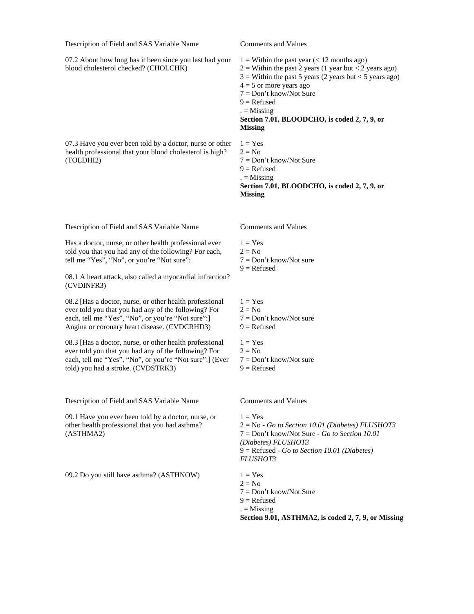07.2 About how long has it been since you last had your blood cholesterol checked? (CHOLCHK)

07.3 Have you ever been told by a doctor, nurse or other health professional that your blood cholesterol is high? (TOLDHI2)

Description of Field and SAS Variable Name Comments and Values

Has a doctor, nurse, or other health professional ever told you that you had any of the following? For each, tell me "Yes", "No", or you're "Not sure":

08.1 A heart attack, also called a myocardial infraction? (CVDINFR3)

08.2 [Has a doctor, nurse, or other health professional ever told you that you had any of the following? For each, tell me "Yes", "No", or you're "Not sure":] Angina or coronary heart disease. (CVDCRHD3)

08.3 [Has a doctor, nurse, or other health professional ever told you that you had any of the following? For each, tell me "Yes", "No", or you're "Not sure":] (Ever told) you had a stroke. (CVDSTRK3)

Description of Field and SAS Variable Name Comments and Values

09.1 Have you ever been told by a doctor, nurse, or other health professional that you had asthma? (ASTHMA2)

09.2 Do you still have asthma?  $(ASTHNOWLEDW)$  1 = Yes

 $1 =$  Within the past year (< 12 months ago)  $2 =$  Within the past 2 years (1 year but < 2 years ago)  $3 =$  Within the past 5 years (2 years but < 5 years ago)  $4 = 5$  or more years ago 7 = Don't know/Not Sure  $9 =$ Refused  $. =$  Missing **Section 7.01, BLOODCHO, is coded 2, 7, 9, or Missing**  $1 = Yes$  $2 = No$ 7 = Don't know/Not Sure  $9 =$  Refused  $. =$  Missing **Section 7.01, BLOODCHO, is coded 2, 7, 9, or Missing**

- $1 = Yes$  $2 = No$ 7 = Don't know/Not sure  $9 =$ Refused
- $1 = Yes$  $2 = No$ 7 = Don't know/Not sure  $9 =$ Refused  $1 = Yes$  $2 = No$
- 7 = Don't know/Not sure
- $9 =$  Refused

 $1 = \text{Yes}$ 2 = No - *Go to Section 10.01 (Diabetes) FLUSHOT3* 7 = Don't know/Not Sure - *Go to Section 10.01 (Diabetes) FLUSHOT3* 9 = Refused - *Go to Section 10.01 (Diabetes) FLUSHOT3*

 $2 = No$ 7 = Don't know/Not Sure  $9 =$ Refused  $. =$  Missing **Section 9.01, ASTHMA2, is coded 2, 7, 9, or Missing**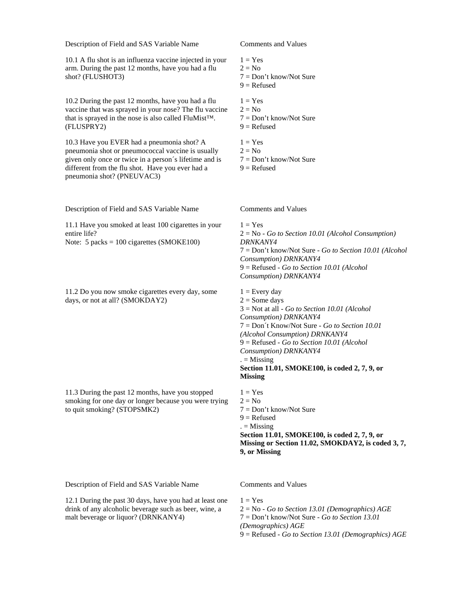10.1 A flu shot is an influenza vaccine injected in your arm. During the past 12 months, have you had a flu shot? (FLUSHOT3)

10.2 During the past 12 months, have you had a flu vaccine that was sprayed in your nose? The flu vaccine that is sprayed in the nose is also called FluMist™. (FLUSPRY2)

10.3 Have you EVER had a pneumonia shot? A pneumonia shot or pneumococcal vaccine is usually given only once or twice in a person´s lifetime and is different from the flu shot. Have you ever had a pneumonia shot? (PNEUVAC3)

Description of Field and SAS Variable Name Comments and Values

11.1 Have you smoked at least 100 cigarettes in your entire life? Note: 5 packs = 100 cigarettes (SMOKE100)

11.2 Do you now smoke cigarettes every day, some days, or not at all? (SMOKDAY2)

11.3 During the past 12 months, have you stopped smoking for one day or longer because you were trying to quit smoking? (STOPSMK2)

- $1 = Yes$
- $2 = No$
- 7 = Don't know/Not Sure
- $9 =$  Refused
- $1 = Yes$  $2 = No$ 7 = Don't know/Not Sure  $9 =$ Refused  $1 = Yes$
- $2 = No$ 7 = Don't know/Not Sure  $9 =$ Refused

 $1 = Yes$ 2 = No - *Go to Section 10.01 (Alcohol Consumption) DRNKANY4* 7 = Don't know/Not Sure - *Go to Section 10.01 (Alcohol Consumption) DRNKANY4* 9 = Refused - *Go to Section 10.01 (Alcohol Consumption) DRNKANY4*

 $1 =$  Every day  $2 =$  Some days 3 = Not at all - *Go to Section 10.01 (Alcohol Consumption) DRNKANY4* 7 = Don´t Know/Not Sure - *Go to Section 10.01 (Alcohol Consumption) DRNKANY4* 9 = Refused - *Go to Section 10.01 (Alcohol Consumption) DRNKANY4*  $=$  Missing **Section 11.01, SMOKE100, is coded 2, 7, 9, or Missing**

 $1 = Yes$  $2 = No$ 7 = Don't know/Not Sure  $9 =$ Refused  $. =$  Missing **Section 11.01, SMOKE100, is coded 2, 7, 9, or Missing or Section 11.02, SMOKDAY2, is coded 3, 7, 9, or Missing**

Description of Field and SAS Variable Name Comments and Values

12.1 During the past 30 days, have you had at least one drink of any alcoholic beverage such as beer, wine, a malt beverage or liquor? (DRNKANY4)

 $1 = Yes$ 

2 = No - *Go to Section 13.01 (Demographics) AGE*

7 = Don't know/Not Sure - *Go to Section 13.01* 

*(Demographics) AGE*

9 = Refused - *Go to Section 13.01 (Demographics) AGE*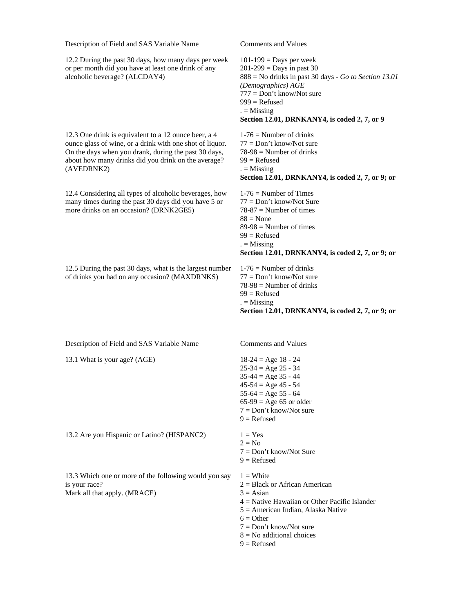12.2 During the past 30 days, how many days per week or per month did you have at least one drink of any alcoholic beverage? (ALCDAY4)

12.3 One drink is equivalent to a 12 ounce beer, a 4 ounce glass of wine, or a drink with one shot of liquor. On the days when you drank, during the past 30 days, about how many drinks did you drink on the average? (AVEDRNK2)

12.4 Considering all types of alcoholic beverages, how many times during the past 30 days did you have 5 or more drinks on an occasion? (DRNK2GE5)

12.5 During the past 30 days, what is the largest number of drinks you had on any occasion? (MAXDRNKS)

 $101-199$  = Days per week  $201 - 299 =$  Days in past 30 888 = No drinks in past 30 days - *Go to Section 13.01 (Demographics) AGE* 777 = Don't know/Not sure  $999$  = Refused  $. =$  Missing **Section 12.01, DRNKANY4, is coded 2, 7, or 9**

 $1-76$  = Number of drinks 77 = Don't know/Not sure  $78-98$  = Number of drinks  $99$  = Refused  $=$  Missing **Section 12.01, DRNKANY4, is coded 2, 7, or 9; or**

 $1-76$  = Number of Times 77 = Don't know/Not Sure  $78-87$  = Number of times  $88$  = None  $89-98$  = Number of times  $99$  = Refused  $. =$  Missing **Section 12.01, DRNKANY4, is coded 2, 7, or 9; or**

 $1-76$  = Number of drinks  $77 = Don't know/Not sure$  $78-98$  = Number of drinks  $99$  = Refused  $. =$  Missing **Section 12.01, DRNKANY4, is coded 2, 7, or 9; or**

Description of Field and SAS Variable Name Comments and Values

13.1 What is your age? (AGE) 18-24 = Age 18 - 24

13.2 Are you Hispanic or Latino? (HISPANC2)  $1 = Yes$ 

13.3 Which one or more of the following would you say is your race? Mark all that apply. (MRACE)

 $25-34 = Age 25 - 34$  $35-44 = Age 35 - 44$  $45-54 = Age 45 - 54$  $55-64 = Age 55 - 64$  $65-99 = \text{Age } 65$  or older 7 = Don't know/Not sure  $9 =$ Refused

- $2 = No$ 7 = Don't know/Not Sure  $9 =$  Refused
- 
- $1 =$  White 2 = Black or African American
- $3 = \text{Asian}$
- 4 = Native Hawaiian or Other Pacific Islander
- 5 = American Indian, Alaska Native
- $6 =$  Other
- $7 =$ Don't know/Not sure
- $8 = No$  additional choices
- $9 =$ Refused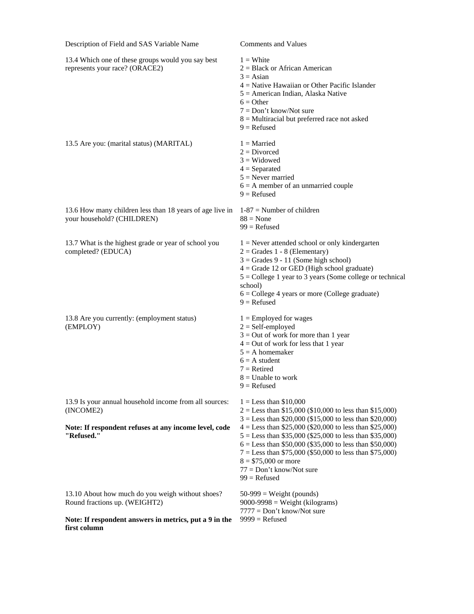13.4 Which one of these groups would you say best represents your race? (ORACE2)  $1 =$  White 2 = Black or African American  $3 = Asian$ 4 = Native Hawaiian or Other Pacific Islander 5 = American Indian, Alaska Native  $6 = Other$ 7 = Don't know/Not sure 8 = Multiracial but preferred race not asked  $9 =$  Refused 13.5 Are you: (marital status) (MARITAL)  $1 =$  Married  $2 = Divored$  $3 = Widowed$  $4 =$ Separated  $5$  = Never married  $6 = A$  member of an unmarried couple  $9 =$ Refused 13.6 How many children less than 18 years of age live in 1-87 = Number of children your household? (CHILDREN)  $88 = None$  $99$  = Refused 13.7 What is the highest grade or year of school you completed? (EDUCA)  $1 =$  Never attended school or only kindergarten  $2 =$  Grades 1 - 8 (Elementary)  $3 =$  Grades 9 - 11 (Some high school)  $4 =$  Grade 12 or GED (High school graduate)  $5 =$  College 1 year to 3 years (Some college or technical school) 6 = College 4 years or more (College graduate)  $9 =$  Refused 13.8 Are you currently: (employment status) (EMPLOY)  $1 =$  Employed for wages  $2 = Self$ -employed  $3 =$  Out of work for more than 1 year  $4 = Out of work for less that 1 year$  $5 = A$  homemaker  $6 = A student$  $7 =$ Retired  $8 =$  Unable to work  $9 =$ Refused 13.9 Is your annual household income from all sources: (INCOME2) **Note: If respondent refuses at any income level, code "Refused."**  $1 =$  Less than \$10,000  $2 =$  Less than \$15,000 (\$10,000 to less than \$15,000)  $3 =$  Less than \$20,000 (\$15,000 to less than \$20,000)  $4 =$  Less than \$25,000 (\$20,000 to less than \$25,000)  $5 =$  Less than \$35,000 (\$25,000 to less than \$35,000)  $6 =$  Less than \$50,000 (\$35,000 to less than \$50,000) 7 = Less than \$75,000 (\$50,000 to less than \$75,000)  $8 = $75,000$  or more 77 = Don't know/Not sure  $99$  = Refused 13.10 About how much do you weigh without shoes? Round fractions up. (WEIGHT2)  $50-999$  = Weight (pounds) 9000-9998 = Weight (kilograms) 7777 = Don't know/Not sure

 $9999 =$ Refused

**Note: If respondent answers in metrics, put a 9 in the first column**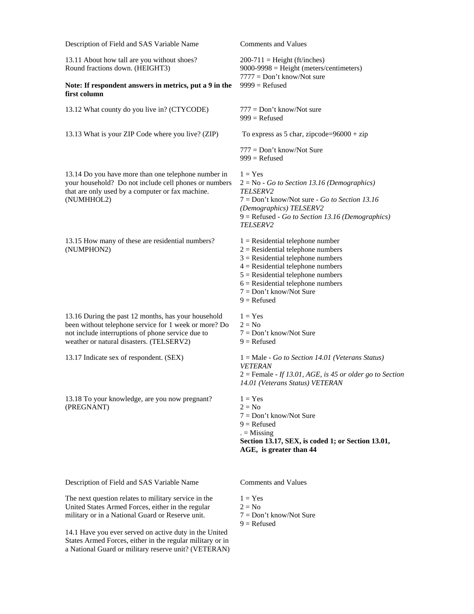| Description of Field and SAS Variable Name                                                                                                                                                                    | <b>Comments and Values</b>                                                                                                                                                                                                                                                          |  |
|---------------------------------------------------------------------------------------------------------------------------------------------------------------------------------------------------------------|-------------------------------------------------------------------------------------------------------------------------------------------------------------------------------------------------------------------------------------------------------------------------------------|--|
| 13.11 About how tall are you without shoes?<br>Round fractions down. (HEIGHT3)                                                                                                                                | $200-711$ = Height (ft/inches)<br>$9000-9998$ = Height (meters/centimeters)                                                                                                                                                                                                         |  |
| Note: If respondent answers in metrics, put a 9 in the<br>first column                                                                                                                                        | $7777 = Don't know/Not sure$<br>$9999 =$ Refused                                                                                                                                                                                                                                    |  |
| 13.12 What county do you live in? (CTYCODE)                                                                                                                                                                   | $777 = Don't know/Not sure$<br>$999$ = Refused                                                                                                                                                                                                                                      |  |
| 13.13 What is your ZIP Code where you live? (ZIP)                                                                                                                                                             | To express as 5 char, zipcode= $96000 + zip$                                                                                                                                                                                                                                        |  |
|                                                                                                                                                                                                               | 777 = Don't know/Not Sure<br>$999$ = Refused                                                                                                                                                                                                                                        |  |
| 13.14 Do you have more than one telephone number in<br>your household? Do not include cell phones or numbers<br>that are only used by a computer or fax machine.<br>(NUMHHOL2)                                | $1 = Yes$<br>$2 = No - Go$ to Section 13.16 (Demographics)<br><i>TELSERV2</i><br>$7 = Don't know/Not sure - Go to Section 13.16$<br>(Demographics) TELSERV2<br>$9 =$ Refused - Go to Section 13.16 (Demographics)<br>TELSERV2                                                       |  |
| 13.15 How many of these are residential numbers?<br>(NUMPHON2)                                                                                                                                                | $1 =$ Residential telephone number<br>$2$ = Residential telephone numbers<br>$3$ = Residential telephone numbers<br>$4$ = Residential telephone numbers<br>$5$ = Residential telephone numbers<br>$6$ = Residential telephone numbers<br>$7 = Don't know/Not Sure$<br>$9 =$ Refused |  |
| 13.16 During the past 12 months, has your household<br>been without telephone service for 1 week or more? Do<br>not include interruptions of phone service due to<br>weather or natural disasters. (TELSERV2) | $1 = Yes$<br>$2 = No$<br>$7 = Don't know/Not Sure$<br>$9 =$ Refused                                                                                                                                                                                                                 |  |
| 13.17 Indicate sex of respondent. (SEX)                                                                                                                                                                       | $1 = Male - Go$ to Section 14.01 (Veterans Status)<br><b>VETERAN</b><br>$2 =$ Female - If 13.01, AGE, is 45 or older go to Section<br>14.01 (Veterans Status) VETERAN                                                                                                               |  |
| 13.18 To your knowledge, are you now pregnant?<br>(PREGNANT)                                                                                                                                                  | $1 = Yes$<br>$2 = No$<br>$7 = Don't know/Not Sure$<br>$9 =$ Refused<br>$=$ Missing<br>Section 13.17, SEX, is coded 1; or Section 13.01,<br>AGE, is greater than 44                                                                                                                  |  |
| Description of Field and SAS Variable Name                                                                                                                                                                    | <b>Comments and Values</b>                                                                                                                                                                                                                                                          |  |
| The next question relates to military service in the<br>United States Armed Forces, either in the regular<br>military or in a National Guard or Reserve unit.                                                 | $1 = Yes$<br>$2 = No$<br>$7 = Don't know/Not Sure$                                                                                                                                                                                                                                  |  |

 $9 =$  Refused

14.1 Have you ever served on active duty in the United States Armed Forces, either in the regular military or in a National Guard or military reserve unit? (VETERAN)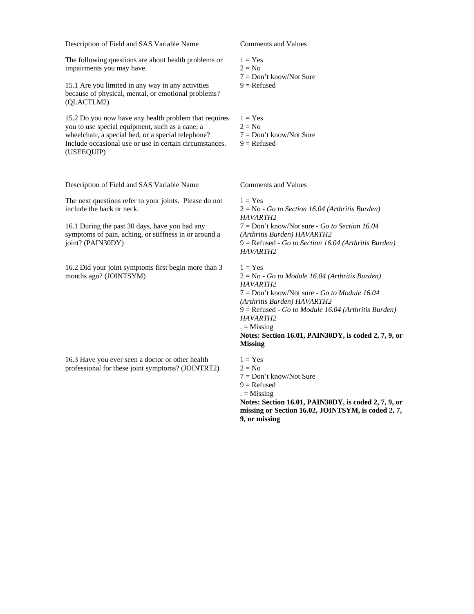The following questions are about health problems or impairments you may have.

15.1 Are you limited in any way in any activities because of physical, mental, or emotional problems? (QLACTLM2)

15.2 Do you now have any health problem that requires you to use special equipment, such as a cane, a wheelchair, a special bed, or a special telephone? Include occasional use or use in certain circumstances. (USEEQUIP)

Description of Field and SAS Variable Name Comments and Values

The next questions refer to your joints. Please do not include the back or neck.

16.1 During the past 30 days, have you had any symptoms of pain, aching, or stiffness in or around a joint? (PAIN30DY)

16.2 Did your joint symptoms first begin more than 3 months ago? (JOINTSYM)

16.3 Have you ever seen a doctor or other health professional for these joint symptoms? (JOINTRT2)

 $1 = Yes$ 

- $2 = No$
- 7 = Don't know/Not Sure
- $9 =$  Refused
- $1 = Yes$  $2 = No$ 7 = Don't know/Not Sure
- $9 =$ Refused

 $1 = Yes$  $2 = No$ 

 $9 =$  Refused  $. =$  Missing

**9, or missing**

7 = Don't know/Not Sure

 $1 = Yes$ 2 = No - *Go to Section 16.04 (Arthritis Burden) HAVARTH2* 7 = Don't know/Not sure - *Go to Section 16.04 (Arthritis Burden) HAVARTH2* 9 = Refused - *Go to Section 16.04 (Arthritis Burden) HAVARTH2*

 $1 = Yes$ 2 = No - *Go to Module 16.04 (Arthritis Burden) HAVARTH2* 7 = Don't know/Not sure - *Go to Module 16.04 (Arthritis Burden) HAVARTH2* 9 = Refused - *Go to Module 16.04 (Arthritis Burden) HAVARTH2*  $. =$  Missing **Notes: Section 16.01, PAIN30DY, is coded 2, 7, 9, or Missing**

**Notes: Section 16.01, PAIN30DY, is coded 2, 7, 9, or missing or Section 16.02, JOINTSYM, is coded 2, 7,**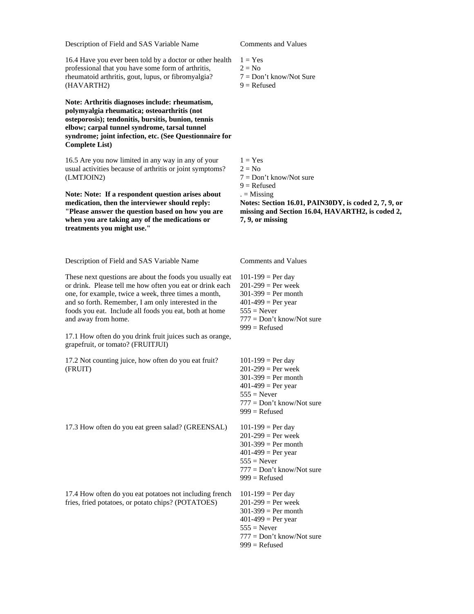16.4 Have you ever been told by a doctor or other health professional that you have some form of arthritis, rheumatoid arthritis, gout, lupus, or fibromyalgia? (HAVARTH2)

**Note: Arthritis diagnoses include: rheumatism, polymyalgia rheumatica; osteoarthritis (not osteporosis); tendonitis, bursitis, bunion, tennis elbow; carpal tunnel syndrome, tarsal tunnel syndrome; joint infection, etc. (See Questionnaire for Complete List)**

16.5 Are you now limited in any way in any of your usual activities because of arthritis or joint symptoms? (LMTJOIN2)

**Note: Note: If a respondent question arises about medication, then the interviewer should reply: "Please answer the question based on how you are when you are taking any of the medications or treatments you might use."**

Description of Field and SAS Variable Name Comments and Values

These next questions are about the foods you usually eat or drink. Please tell me how often you eat or drink each one, for example, twice a week, three times a month, and so forth. Remember, I am only interested in the foods you eat. Include all foods you eat, both at home and away from home.

17.1 How often do you drink fruit juices such as orange, grapefruit, or tomato? (FRUITJUI)

17.2 Not counting juice, how often do you eat fruit? (FRUIT)

17.3 How often do you eat green salad? (GREENSAL) 101-199 = Per day

17.4 How often do you eat potatoes not including french fries, fried potatoes, or potato chips? (POTATOES)

- $1 = Yes$
- $2 = No$
- 7 = Don't know/Not Sure
- $9 =$  Refused

 $1 = \text{Yes}$  $2 = No$ 7 = Don't know/Not sure  $9 =$ Refused  $. =$  Missing **Notes: Section 16.01, PAIN30DY, is coded 2, 7, 9, or missing and Section 16.04, HAVARTH2, is coded 2,** 

**7, 9, or missing**

 $101 - 199 = Per day$  $201 - 299 = Per week$  $301-399$  = Per month  $401-499$  = Per year  $555 =$  Never 777 = Don't know/Not sure  $999$  = Refused

 $101 - 199 = Per day$  $201-299 = Per week$  $301-399$  = Per month  $401-499$  = Per year  $555$  = Never 777 = Don't know/Not sure  $999$  = Refused  $201 - 299 = Per week$  $301-399$  = Per month  $401-499$  = Per year  $555 =$  Never 777 = Don't know/Not sure  $999$  = Refused  $101 - 199 = Per day$  $201 - 299 = Per week$  $301-399$  = Per month

 $401-499$  = Per year  $555 =$  Never 777 = Don't know/Not sure  $999$  = Refused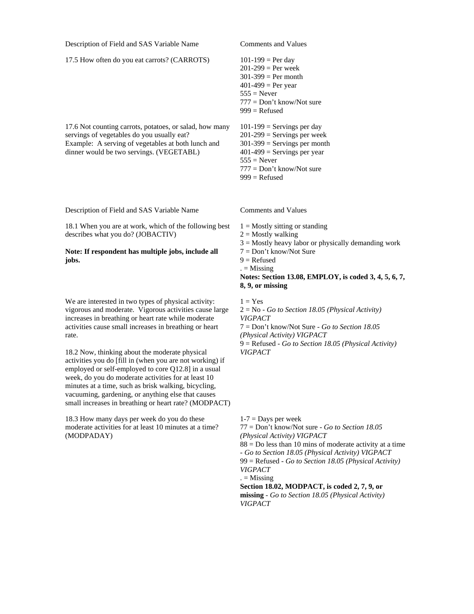17.5 How often do you eat carrots? (CARROTS) 101-199 = Per day

17.6 Not counting carrots, potatoes, or salad, how many servings of vegetables do you usually eat? Example: A serving of vegetables at both lunch and dinner would be two servings. (VEGETABL)

Description of Field and SAS Variable Name Comments and Values

18.1 When you are at work, which of the following best describes what you do? (JOBACTIV)

#### **Note: If respondent has multiple jobs, include all jobs.**

We are interested in two types of physical activity: vigorous and moderate. Vigorous activities cause large increases in breathing or heart rate while moderate activities cause small increases in breathing or heart rate.

18.2 Now, thinking about the moderate physical activities you do [fill in (when you are not working) if employed or self-employed to core Q12.8] in a usual week, do you do moderate activities for at least 10 minutes at a time, such as brisk walking, bicycling, vacuuming, gardening, or anything else that causes small increases in breathing or heart rate? (MODPACT)

18.3 How many days per week do you do these moderate activities for at least 10 minutes at a time? (MODPADAY)

 $201 - 299 = Per week$  $301-399$  = Per month  $401-499 = Per year$  $555 =$  Never 777 = Don't know/Not sure  $999$  = Refused  $101-199$  = Servings per day  $201-299$  = Servings per week

 $301-399$  = Servings per month  $401-499$  = Servings per year  $555 =$  Never 777 = Don't know/Not sure

 $999$  = Refused

 $1 =$  Mostly sitting or standing

 $2 =$  Mostly walking

- $3 =$  Mostly heavy labor or physically demanding work
- 7 = Don't know/Not Sure
- $9 =$ Refused

 $. =$  Missing

**Notes: Section 13.08, EMPLOY, is coded 3, 4, 5, 6, 7, 8, 9, or missing**

 $1 = Yes$ 2 = No - *Go to Section 18.05 (Physical Activity) VIGPACT* 7 = Don't know/Not Sure - *Go to Section 18.05 (Physical Activity) VIGPACT* 9 = Refused - *Go to Section 18.05 (Physical Activity)* 

*VIGPACT*

 $1-7 =$ Days per week 77 = Don't know/Not sure - *Go to Section 18.05 (Physical Activity) VIGPACT*  $88 = Do$  less than 10 mins of moderate activity at a time - *Go to Section 18.05 (Physical Activity) VIGPACT* 99 = Refused - *Go to Section 18.05 (Physical Activity) VIGPACT*  $. =$  Missing **Section 18.02, MODPACT, is coded 2, 7, 9, or** 

**missing** - *Go to Section 18.05 (Physical Activity) VIGPACT*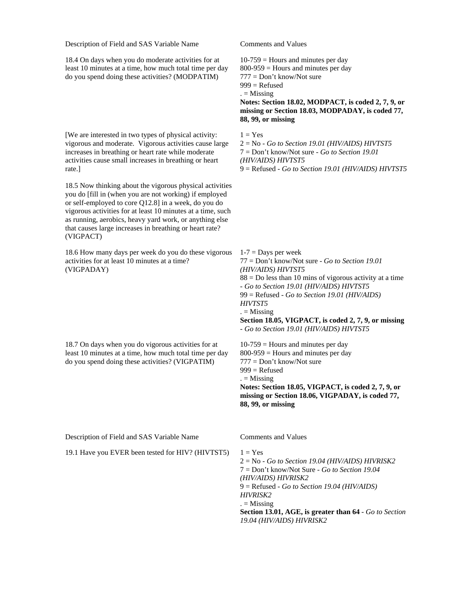18.4 On days when you do moderate activities for at least 10 minutes at a time, how much total time per day do you spend doing these activities? (MODPATIM)

[We are interested in two types of physical activity: vigorous and moderate. Vigorous activities cause large increases in breathing or heart rate while moderate activities cause small increases in breathing or heart rate.]

18.5 Now thinking about the vigorous physical activities you do [fill in (when you are not working) if employed or self-employed to core Q12.8] in a week, do you do vigorous activities for at least 10 minutes at a time, such as running, aerobics, heavy yard work, or anything else that causes large increases in breathing or heart rate? (VIGPACT)

18.6 How many days per week do you do these vigorous activities for at least 10 minutes at a time? (VIGPADAY)

18.7 On days when you do vigorous activities for at least 10 minutes at a time, how much total time per day do you spend doing these activities? (VIGPATIM)

 $10-759$  = Hours and minutes per day

800-959 = Hours and minutes per day

777 = Don't know/Not sure  $999$  = Refused

 $. =$  Missing

**Notes: Section 18.02, MODPACT, is coded 2, 7, 9, or missing or Section 18.03, MODPADAY, is coded 77, 88, 99, or missing**

 $1 = Yes$ 

2 = No - *Go to Section 19.01 (HIV/AIDS) HIVTST5* 7 = Don't know/Not sure - *Go to Section 19.01 (HIV/AIDS) HIVTST5* 9 = Refused - *Go to Section 19.01 (HIV/AIDS) HIVTST5*

 $1-7 =$ Days per week 77 = Don't know/Not sure - *Go to Section 19.01 (HIV/AIDS) HIVTST5*  $88 = Do$  less than 10 mins of vigorous activity at a time - *Go to Section 19.01 (HIV/AIDS) HIVTST5* 99 = Refused - *Go to Section 19.01 (HIV/AIDS) HIVTST5*  $. =$  Missing **Section 18.05, VIGPACT, is coded 2, 7, 9, or missing** - *Go to Section 19.01 (HIV/AIDS) HIVTST5*  $10-759$  = Hours and minutes per day  $800-959$  = Hours and minutes per day 777 = Don't know/Not sure  $999$  = Refused

 $. =$  Missing

**Notes: Section 18.05, VIGPACT, is coded 2, 7, 9, or missing or Section 18.06, VIGPADAY, is coded 77, 88, 99, or missing**

Description of Field and SAS Variable Name Comments and Values

19.1 Have you EVER been tested for HIV? (HIVTST5)  $1 = Yes$ 

2 = No - *Go to Section 19.04 (HIV/AIDS) HIVRISK2* 7 = Don't know/Not Sure - *Go to Section 19.04 (HIV/AIDS) HIVRISK2* 9 = Refused - *Go to Section 19.04 (HIV/AIDS) HIVRISK2*  $. =$  Missing **Section 13.01, AGE, is greater than 64** - *Go to Section 19.04 (HIV/AIDS) HIVRISK2*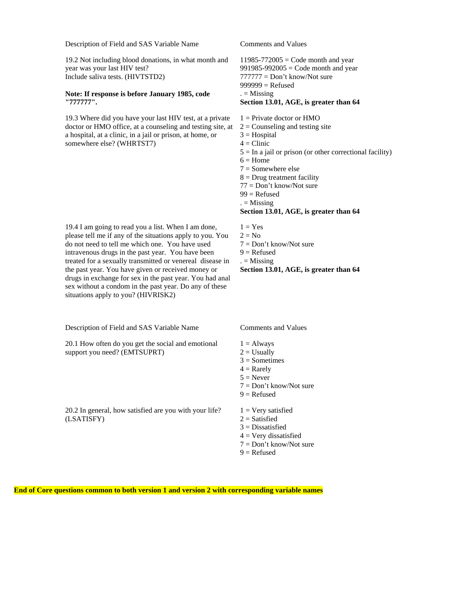19.2 Not including blood donations, in what month and year was your last HIV test? Include saliva tests. (HIVTSTD2)

#### **Note: If response is before January 1985, code "777777".**

19.3 Where did you have your last HIV test, at a private doctor or HMO office, at a counseling and testing site, at a hospital, at a clinic, in a jail or prison, at home, or somewhere else? (WHRTST7)

19.4 I am going to read you a list. When I am done, please tell me if any of the situations apply to you. You do not need to tell me which one. You have used intravenous drugs in the past year. You have been treated for a sexually transmitted or venereal disease in the past year. You have given or received money or drugs in exchange for sex in the past year. You had anal sex without a condom in the past year. Do any of these situations apply to you? (HIVRISK2)

Description of Field and SAS Variable Name Comments and Values

20.1 How often do you get the social and emotional support you need? (EMTSUPRT)

20.2 In general, how satisfied are you with your life? (LSATISFY)

 $11985-772005 = \text{Code month}$  and year  $991985-992005 = \text{Code month}$  and year 777777 = Don't know/Not sure  $999999 =$ Refused  $. =$  Missing **Section 13.01, AGE, is greater than 64**

- $1 =$  Private doctor or HMO
- $2 =$  Counseling and testing site
- $3 = Hospital$
- $4 =$ Clinic
- $5 =$  In a jail or prison (or other correctional facility)
- $6 =$ Home
- $7 =$ Somewhere else
- $8 = Drug treatment facility$
- 77 = Don't know/Not sure
- $99$  = Refused
- $. =$  Missing

## **Section 13.01, AGE, is greater than 64**

- $1 = Yes$  $2 = No$
- 7 = Don't know/Not sure
- $9 =$ Refused

 $. =$  Missing

**Section 13.01, AGE, is greater than 64**

- $1 =$  Always  $2 =$  Usually
- $3 =$ Sometimes
- $4 =$ Rarely
- $5 =$ Never
- $7 = Don't know/Not sure$
- $9 =$ Refused
- $1 =$  Very satisfied
- $2 =$ Satisfied
- 3 = Dissatisfied
- $4 = \text{Very dissatisfied}$
- 7 = Don't know/Not sure  $9 =$  Refused

**End of Core questions common to both version 1 and version 2 with corresponding variable names**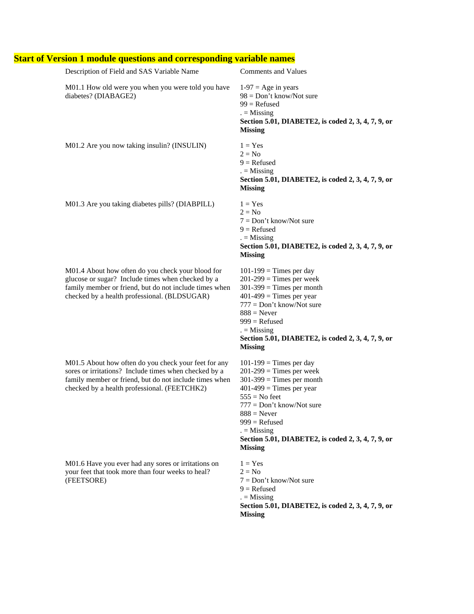| Description of Field and SAS Variable Name                                                                                                                                                                              | <b>Comments and Values</b>                                                                                                                                                                                                                                                                        |
|-------------------------------------------------------------------------------------------------------------------------------------------------------------------------------------------------------------------------|---------------------------------------------------------------------------------------------------------------------------------------------------------------------------------------------------------------------------------------------------------------------------------------------------|
| M01.1 How old were you when you were told you have<br>diabetes? (DIABAGE2)                                                                                                                                              | $1-97 = Age$ in years<br>$98 = Don't know/Not sure$<br>$99$ = Refused<br>$=$ Missing<br>Section 5.01, DIABETE2, is coded 2, 3, 4, 7, 9, or<br><b>Missing</b>                                                                                                                                      |
| M01.2 Are you now taking insulin? (INSULIN)                                                                                                                                                                             | $1 = Yes$<br>$2 = No$<br>$9 =$ Refused<br>$=$ Missing<br>Section 5.01, DIABETE2, is coded 2, 3, 4, 7, 9, or<br><b>Missing</b>                                                                                                                                                                     |
| M01.3 Are you taking diabetes pills? (DIABPILL)                                                                                                                                                                         | $1 = Yes$<br>$2 = No$<br>$7 = Don't know/Not sure$<br>$9 =$ Refused<br>$=$ Missing<br>Section 5.01, DIABETE2, is coded 2, 3, 4, 7, 9, or<br><b>Missing</b>                                                                                                                                        |
| M01.4 About how often do you check your blood for<br>glucose or sugar? Include times when checked by a<br>family member or friend, but do not include times when<br>checked by a health professional. (BLDSUGAR)        | $101-199$ = Times per day<br>$201-299$ = Times per week<br>$301-399$ = Times per month<br>$401-499$ = Times per year<br>$777 = Don't know/Not sure$<br>$888$ = Never<br>$999$ = Refused<br>$=$ Missing<br>Section 5.01, DIABETE2, is coded 2, 3, 4, 7, 9, or<br><b>Missing</b>                    |
| M01.5 About how often do you check your feet for any<br>sores or irritations? Include times when checked by a<br>family member or friend, but do not include times when<br>checked by a health professional. (FEETCHK2) | $101-199$ = Times per day<br>$201-299$ = Times per week<br>$301-399$ = Times per month<br>$401-499$ = Times per year<br>$555 = No feet$<br>$777 = Don't know/Not sure$<br>$888$ = Never<br>$999$ = Refused<br>$=$ Missing<br>Section 5.01, DIABETE2, is coded 2, 3, 4, 7, 9, or<br><b>Missing</b> |
| M01.6 Have you ever had any sores or irritations on<br>your feet that took more than four weeks to heal?<br>(FEETSORE)                                                                                                  | $1 = Yes$<br>$2 = No$<br>$7 = Don't know/Not sure$<br>$9 =$ Refused<br>$=$ Missing<br>Section 5.01, DIABETE2, is coded 2, 3, 4, 7, 9, or<br><b>Missing</b>                                                                                                                                        |

# **Start of Version 1 module questions and corresponding variable names**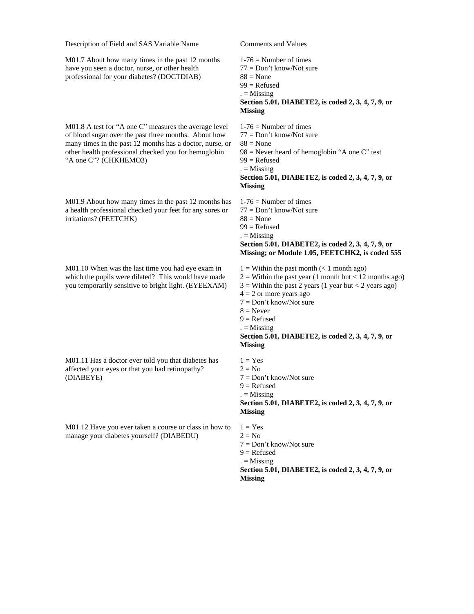M01.7 About how many times in the past 12 months have you seen a doctor, nurse, or other health professional for your diabetes? (DOCTDIAB)

M01.8 A test for "A one C" measures the average level of blood sugar over the past three months. About how many times in the past 12 months has a doctor, nurse, or other health professional checked you for hemoglobin "A one C"? (CHKHEMO3)

M01.9 About how many times in the past 12 months has a health professional checked your feet for any sores or irritations? (FEETCHK)

M01.10 When was the last time you had eye exam in which the pupils were dilated? This would have made you temporarily sensitive to bright light. (EYEEXAM)

M01.11 Has a doctor ever told you that diabetes has affected your eyes or that you had retinopathy? (DIABEYE)

M01.12 Have you ever taken a course or class in how to manage your diabetes yourself? (DIABEDU)

- $1-76$  = Number of times
- 77 = Don't know/Not sure
- $88 = None$
- $99$  = Refused
- $. =$  Missing

### **Section 5.01, DIABETE2, is coded 2, 3, 4, 7, 9, or Missing**

 $1-76$  = Number of times 77 = Don't know/Not sure

- $88$  = None
- $98$  = Never heard of hemoglobin "A one C" test

 $99$  = Refused

 $=$  Missing

#### **Section 5.01, DIABETE2, is coded 2, 3, 4, 7, 9, or Missing**

 $1-76$  = Number of times

- 77 = Don't know/Not sure
- $88 \equiv$  None
- $99$  = Refused
- $. =$  Missing

#### **Section 5.01, DIABETE2, is coded 2, 3, 4, 7, 9, or Missing; or Module 1.05, FEETCHK2, is coded 555**

- $1 =$  Within the past month  $\left($  < 1 month ago)
- $2 =$  Within the past year (1 month but < 12 months ago)
- $3 =$  Within the past 2 years (1 year but < 2 years ago)
- $4 = 2$  or more years ago
- 7 = Don't know/Not sure
- $8 =$  Never
- $9 =$ Refused
- $. =$  Missing

#### **Section 5.01, DIABETE2, is coded 2, 3, 4, 7, 9, or Missing**

- $1 = Yes$  $2 = No$
- $7 =$ Don't know/Not sure
- $9 =$ Refused
- $=$  Missing

**Section 5.01, DIABETE2, is coded 2, 3, 4, 7, 9, or Missing**

- $1 = Yes$  $2 = No$ 7 = Don't know/Not sure  $9 =$ Refused  $. =$  Missing
- **Section 5.01, DIABETE2, is coded 2, 3, 4, 7, 9, or Missing**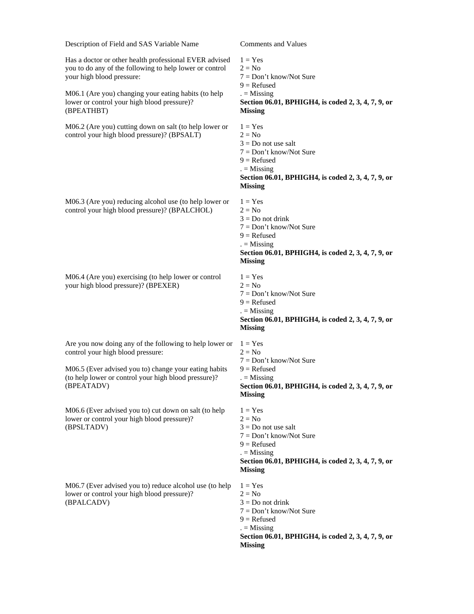Has a doctor or other health professional EVER advised you to do any of the following to help lower or control your high blood pressure:

M06.1 (Are you) changing your eating habits (to help lower or control your high blood pressure)? (BPEATHBT)

M06.2 (Are you) cutting down on salt (to help lower or control your high blood pressure)? (BPSALT)

M06.3 (Are you) reducing alcohol use (to help lower or control your high blood pressure)? (BPALCHOL)

M06.4 (Are you) exercising (to help lower or control your high blood pressure)? (BPEXER)

Are you now doing any of the following to help lower or control your high blood pressure:

M06.5 (Ever advised you to) change your eating habits (to help lower or control your high blood pressure)? (BPEATADV)

M06.6 (Ever advised you to) cut down on salt (to help lower or control your high blood pressure)? (BPSLTADV)

M06.7 (Ever advised you to) reduce alcohol use (to help lower or control your high blood pressure)? (BPALCADV)

- $1 = Yes$  $2 = No$
- 7 = Don't know/Not Sure
- $9 =$  Refused
- $. =$  Missing

### **Section 06.01, BPHIGH4, is coded 2, 3, 4, 7, 9, or Missing**

- $1 = Yes$  $2 = No$  $3 = Do$  not use salt 7 = Don't know/Not Sure  $9 =$ Refused  $. =$  Missing **Section 06.01, BPHIGH4, is coded 2, 3, 4, 7, 9, or Missing**
- $1 = Yes$  $2 = No$  $3 = Do$  not drink
- 7 = Don't know/Not Sure
- $9 =$ Refused
- $. =$  Missing

### **Section 06.01, BPHIGH4, is coded 2, 3, 4, 7, 9, or Missing**

- $1 = Yes$  $2 = No$ 7 = Don't know/Not Sure
- 
- $9 =$  Refused
- $. =$  Missing

## **Section 06.01, BPHIGH4, is coded 2, 3, 4, 7, 9, or Missing**

- $1 = Yes$
- $2 = No$
- 7 = Don't know/Not Sure
- $9 =$ Refused
- $. =$  Missing

#### **Section 06.01, BPHIGH4, is coded 2, 3, 4, 7, 9, or Missing**

- $1 = Yes$
- $2 = No$  $3 = Do$  not use salt
- 7 = Don't know/Not Sure
- $9 =$  Refused
- $. =$  Missing

### **Section 06.01, BPHIGH4, is coded 2, 3, 4, 7, 9, or Missing**

- $1 = Yes$
- $2 = No$
- $3 = Do$  not drink
- 7 = Don't know/Not Sure
- $9 =$  Refused
- $. =$  Missing
- **Section 06.01, BPHIGH4, is coded 2, 3, 4, 7, 9, or Missing**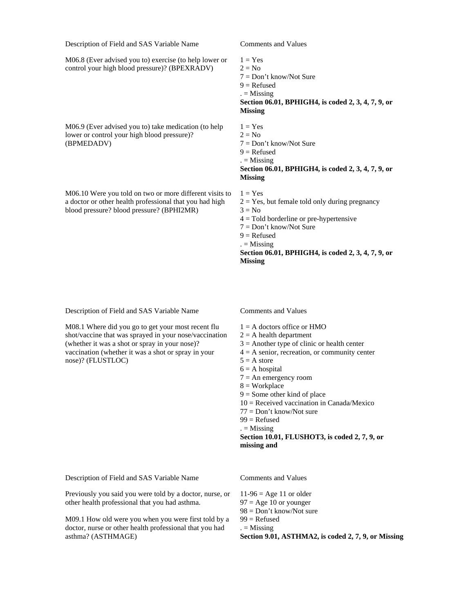M06.8 (Ever advised you to) exercise (to help lower or control your high blood pressure)? (BPEXRADV)

M06.9 (Ever advised you to) take medication (to help lower or control your high blood pressure)? (BPMEDADV)

M06.10 Were you told on two or more different visits to a doctor or other health professional that you had high blood pressure? blood pressure? (BPHI2MR)

 $1 = Yes$  $2 = No$ 7 = Don't know/Not Sure  $9 =$ Refused  $. =$  Missing

**Section 06.01, BPHIGH4, is coded 2, 3, 4, 7, 9, or Missing**

- $1 = Yes$  $2 = No$ 7 = Don't know/Not Sure  $9 =$ Refused  $. =$  Missing **Section 06.01, BPHIGH4, is coded 2, 3, 4, 7, 9, or Missing**
- $1 = Yes$
- $2 = Yes$ , but female told only during pregnancy
- $3 = No$
- $4 =$ Told borderline or pre-hypertensive
- 7 = Don't know/Not Sure
- $9 =$ Refused
- $. =$  Missing

**Section 06.01, BPHIGH4, is coded 2, 3, 4, 7, 9, or Missing**

Description of Field and SAS Variable Name Comments and Values

M08.1 Where did you go to get your most recent flu shot/vaccine that was sprayed in your nose/vaccination (whether it was a shot or spray in your nose)? vaccination (whether it was a shot or spray in your nose)? (FLUSTLOC)

- $1 = A$  doctors office or  $HMO$
- $2 = A$  health department
- $3 =$  Another type of clinic or health center
- $4 = A$  senior, recreation, or community center
- $5 = A$  store
- $6 = A$  hospital
- $7 = An emergency room$
- $8 = Workplace$
- $9 =$  Some other kind of place
- 10 = Received vaccination in Canada/Mexico
- 77 = Don't know/Not sure
- $99$  = Refused
- $. =$  Missing

**Section 10.01, FLUSHOT3, is coded 2, 7, 9, or missing and**

Description of Field and SAS Variable Name Comments and Values

Previously you said you were told by a doctor, nurse, or other health professional that you had asthma.

M09.1 How old were you when you were first told by a doctor, nurse or other health professional that you had asthma? (ASTHMAGE)

 $11-96 = Age 11$  or older  $97 = Age 10$  or younger 98 = Don't know/Not sure 99 = Refused

 $. =$  Missing

**Section 9.01, ASTHMA2, is coded 2, 7, 9, or Missing**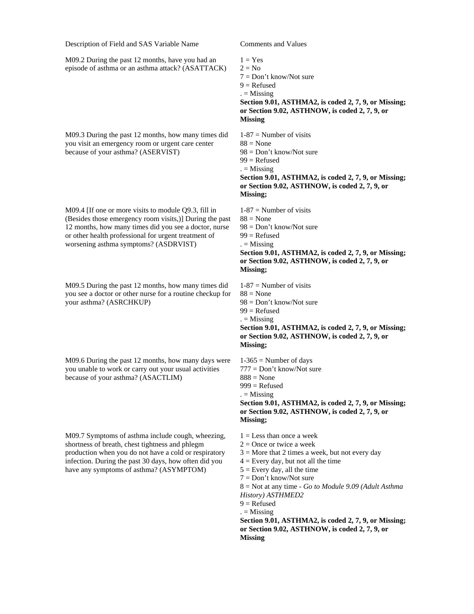M09.2 During the past 12 months, have you had an episode of asthma or an asthma attack? (ASATTACK)

M09.3 During the past 12 months, how many times did you visit an emergency room or urgent care center because of your asthma? (ASERVIST)

M09.4 [If one or more visits to module Q9.3, fill in (Besides those emergency room visits,)] During the past 12 months, how many times did you see a doctor, nurse or other health professional for urgent treatment of worsening asthma symptoms? (ASDRVIST)

M09.5 During the past 12 months, how many times did you see a doctor or other nurse for a routine checkup for your asthma? (ASRCHKUP)

M09.6 During the past 12 months, how many days were you unable to work or carry out your usual activities because of your asthma? (ASACTLIM)

M09.7 Symptoms of asthma include cough, wheezing, shortness of breath, chest tightness and phlegm production when you do not have a cold or respiratory infection. During the past 30 days, how often did you have any symptoms of asthma? (ASYMPTOM)

```
1 = Yes2 = No
```
- 7 = Don't know/Not sure
- $9 =$ Refused
- $. =$  Missing

**Section 9.01, ASTHMA2, is coded 2, 7, 9, or Missing; or Section 9.02, ASTHNOW, is coded 2, 7, 9, or Missing**

 $1-87$  = Number of visits  $88 \pm \text{None}$ 98 = Don't know/Not sure  $99$  = Refused  $. =$  Missing **Section 9.01, ASTHMA2, is coded 2, 7, 9, or Missing;** 

**or Section 9.02, ASTHNOW, is coded 2, 7, 9, or Missing;**

 $1-87$  = Number of visits  $88 \equiv$  None 98 = Don't know/Not sure  $99$  = Refused  $. =$  Missing **Section 9.01, ASTHMA2, is coded 2, 7, 9, or Missing; or Section 9.02, ASTHNOW, is coded 2, 7, 9, or** 

#### **Missing;**

 $1-87$  = Number of visits  $88$  = None 98 = Don't know/Not sure 99 = Refused  $. =$  Missing **Section 9.01, ASTHMA2, is coded 2, 7, 9, or Missing; or Section 9.02, ASTHNOW, is coded 2, 7, 9, or Missing;**

 $1-365$  = Number of days 777 = Don't know/Not sure

 $888 \pm \text{None}$ 

 $999$  = Refused

 $=$  Missing

**Section 9.01, ASTHMA2, is coded 2, 7, 9, or Missing; or Section 9.02, ASTHNOW, is coded 2, 7, 9, or Missing;**

 $1 =$ Less than once a week

- $2 =$ Once or twice a week
- $3 =$  More that 2 times a week, but not every day
- $4 =$  Every day, but not all the time
- $5 =$  Every day, all the time
- 7 = Don't know/Not sure

8 = Not at any time - *Go to Module 9.09 (Adult Asthma History) ASTHMED2*

- $9 =$  Refused
- $. =$  Missing

**Section 9.01, ASTHMA2, is coded 2, 7, 9, or Missing; or Section 9.02, ASTHNOW, is coded 2, 7, 9, or Missing**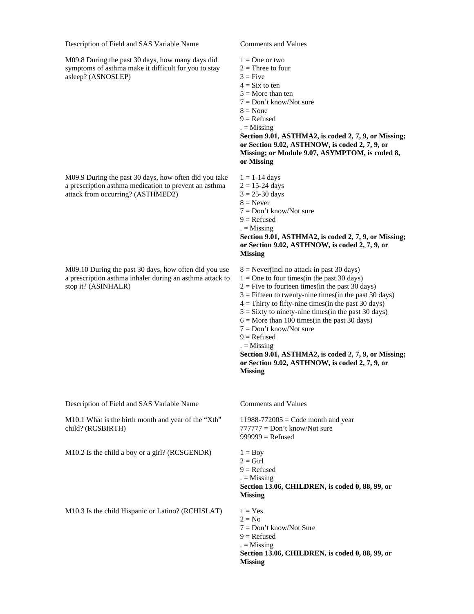M09.8 During the past 30 days, how many days did symptoms of asthma make it difficult for you to stay asleep? (ASNOSLEP)

M09.9 During the past 30 days, how often did you take a prescription asthma medication to prevent an asthma attack from occurring? (ASTHMED2)

M09.10 During the past 30 days, how often did you use a prescription asthma inhaler during an asthma attack to stop it? (ASINHALR)

Description of Field and SAS Variable Name Comments and Values

M10.1 What is the birth month and year of the "Xth" child? (RCSBIRTH)

M10.2 Is the child a boy or a girl? (RCSGENDR)  $1 = Boy$ 

M10.3 Is the child Hispanic or Latino? (RCHISLAT)  $1 = Yes$ 

 $1 =$ One or two

- $2 =$ Three to four
- $3 =$  Five
- $4 = Six to ten$
- $5 =$ More than ten
- 7 = Don't know/Not sure
- $8 = None$
- $9 =$ Refused
- $. =$  Missing

**Section 9.01, ASTHMA2, is coded 2, 7, 9, or Missing; or Section 9.02, ASTHNOW, is coded 2, 7, 9, or Missing; or Module 9.07, ASYMPTOM, is coded 8, or Missing**

 $1 = 1-14$  days

- $2 = 15 24$  days
- $3 = 25 30$  days
- $8 =$  Never
- $7 = Don't know/Not sure$
- $9 =$ Refused
- $=$  Missing

**Section 9.01, ASTHMA2, is coded 2, 7, 9, or Missing; or Section 9.02, ASTHNOW, is coded 2, 7, 9, or Missing**

- $8 =$  Never(incl no attack in past 30 days)
- $1 =$ One to four times(in the past 30 days)
- $2 =$  Five to fourteen times(in the past 30 days)
- $3 =$  Fifteen to twenty-nine times(in the past 30 days)
- $4 =$ Thirty to fifty-nine times(in the past 30 days)
- $5 =$  Sixty to ninety-nine times(in the past 30 days)
- $6 =$  More than 100 times(in the past 30 days)
- 7 = Don't know/Not sure
- $9 =$  Refused
- $. =$  Missing

**Section 9.01, ASTHMA2, is coded 2, 7, 9, or Missing; or Section 9.02, ASTHNOW, is coded 2, 7, 9, or Missing**

 $11988-772005 = \text{Code month}$  and year  $777777 = Don't know/Not sure$  $999999 =$ Refused

 $2 =$ Girl  $9 =$  Refused  $. =$  Missing **Section 13.06, CHILDREN, is coded 0, 88, 99, or Missing**  $2 = No$ 

7 = Don't know/Not Sure  $9 =$  Refused  $. =$  Missing **Section 13.06, CHILDREN, is coded 0, 88, 99, or Missing**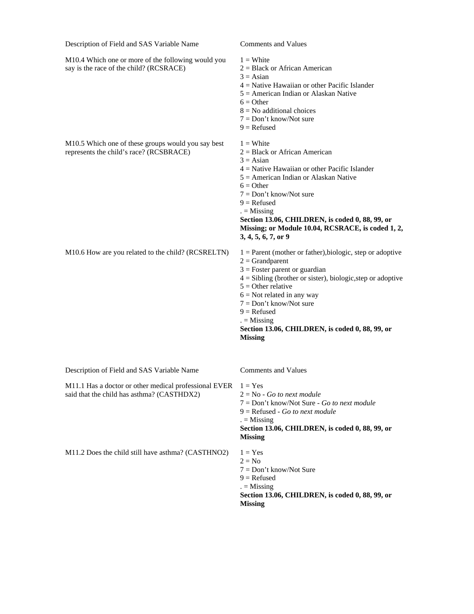M10.4 Which one or more of the following would you say is the race of the child? (RCSRACE)

- $1 =$  White
- 2 = Black or African American
- $3 = \text{Asian}$
- 4 = Native Hawaiian or other Pacific Islander
- 5 = American Indian or Alaskan Native
- $6 =$  Other
- $8 = No$  additional choices
- 7 = Don't know/Not sure
- $9 =$  Refused

| M <sub>10.5</sub> Which one of these groups would you say best<br>represents the child's race? (RCSBRACE) | $1 =$ White<br>$2 = Black$ or African American<br>$3 = Asian$<br>$4$ = Native Hawaiian or other Pacific Islander<br>$5 =$ American Indian or Alaskan Native<br>$6 =$ Other<br>$7 = Don't know/Not sure$<br>$9$ = Refused<br>$=$ Missing<br>Section 13.06, CHILDREN, is coded 0, 88, 99, or<br>Missing; or Module 10.04, RCSRACE, is coded 1, 2,<br>3, 4, 5, 6, 7, or 9 |
|-----------------------------------------------------------------------------------------------------------|------------------------------------------------------------------------------------------------------------------------------------------------------------------------------------------------------------------------------------------------------------------------------------------------------------------------------------------------------------------------|
| M10.6 How are you related to the child? (RCSRELTN)                                                        | $1 =$ Parent (mother or father), biologic, step or adoptive<br>$2 = Grandparent$<br>$3$ = Foster parent or guardian<br>$4 = Sibling$ (brother or sister), biologic, step or adoptive                                                                                                                                                                                   |

- $5 =$  Other relative
- $6$  = Not related in any way
- 7 = Don't know/Not sure
- $9 =$  Refused
- $. =$  Missing

**Section 13.06, CHILDREN, is coded 0, 88, 99, or Missing**

Description of Field and SAS Variable Name Comments and Values

M11.1 Has a doctor or other medical professional EVER  $1 = Yes$ said that the child has asthma? (CASTHDX2)

2 = No - *Go to next module*

- 7 = Don't know/Not Sure *Go to next module*
- 9 = Refused *Go to next module*
- $. =$  Missing

### **Section 13.06, CHILDREN, is coded 0, 88, 99, or Missing**

M11.2 Does the child still have asthma? (CASTHNO2)  $1 = Yes$ 

- $2 = No$
- 7 = Don't know/Not Sure
- $9 =$  Refused
- $. =$  Missing

**Section 13.06, CHILDREN, is coded 0, 88, 99, or Missing**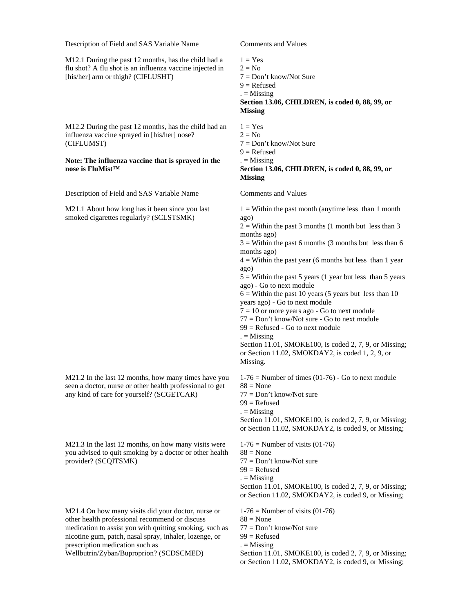M12.1 During the past 12 months, has the child had a flu shot? A flu shot is an influenza vaccine injected in [his/her] arm or thigh? (CIFLUSHT)

M12.2 During the past 12 months, has the child had an influenza vaccine sprayed in [his/her] nose? (CIFLUMST)

#### **Note: The influenza vaccine that is sprayed in the nose is FluMist™**

Description of Field and SAS Variable Name Comments and Values

M21.1 About how long has it been since you last smoked cigarettes regularly? (SCLSTSMK)

M21.2 In the last 12 months, how many times have you seen a doctor, nurse or other health professional to get any kind of care for yourself? (SCGETCAR)

M21.3 In the last 12 months, on how many visits were you advised to quit smoking by a doctor or other health provider? (SCQITSMK)

M21.4 On how many visits did your doctor, nurse or other health professional recommend or discuss medication to assist you with quitting smoking, such as nicotine gum, patch, nasal spray, inhaler, lozenge, or prescription medication such as

Wellbutrin/Zyban/Buproprion? (SCDSCMED)

- $1 = Yes$  $2 = No$
- 7 = Don't know/Not Sure
- $9 =$ Refused
- $. =$  Missing

#### **Section 13.06, CHILDREN, is coded 0, 88, 99, or Missing**

 $1 = Yes$  $2 = No$ 7 = Don't know/Not Sure  $9 =$ Refused  $. =$  Missing **Section 13.06, CHILDREN, is coded 0, 88, 99, or Missing**

 $1 =$  Within the past month (anytime less than 1 month) ago)

 $2 =$  Within the past 3 months (1 month but less than 3 months ago)

 $3 =$  Within the past 6 months (3 months but less than 6 months ago)

 $4 =$  Within the past year (6 months but less than 1 year) ago)

 $5 =$  Within the past 5 years (1 year but less than 5 years ago) - Go to next module

 $6 =$  Within the past 10 years (5 years but less than 10 years ago) - Go to next module

 $7 = 10$  or more years ago - Go to next module

77 = Don't know/Not sure - Go to next module

99 = Refused - Go to next module

 $. =$  Missing

Section 11.01, SMOKE100, is coded 2, 7, 9, or Missing; or Section 11.02, SMOKDAY2, is coded 1, 2, 9, or Missing.

 $1-76$  = Number of times (01-76) - Go to next module  $88 \equiv$  None

77 = Don't know/Not sure

 $99$  = Refused

 $=$ Missing

Section 11.01, SMOKE100, is coded 2, 7, 9, or Missing; or Section 11.02, SMOKDAY2, is coded 9, or Missing;

 $1-76$  = Number of visits  $(01-76)$ 

- $88$  = None
- 77 = Don't know/Not sure
- $99$  = Refused
- $. =$  Missing

Section 11.01, SMOKE100, is coded 2, 7, 9, or Missing; or Section 11.02, SMOKDAY2, is coded 9, or Missing;

 $1-76$  = Number of visits  $(01-76)$ 

- $88$  = None
- 77 = Don't know/Not sure
- $99$  = Refused
- $. =$  Missing

Section 11.01, SMOKE100, is coded 2, 7, 9, or Missing; or Section 11.02, SMOKDAY2, is coded 9, or Missing;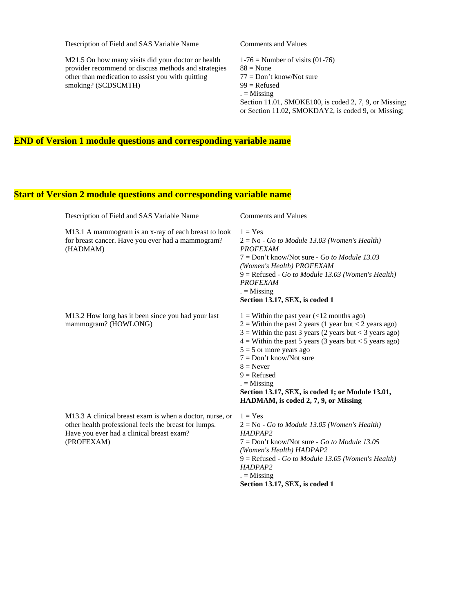M21.5 On how many visits did your doctor or health provider recommend or discuss methods and strategies other than medication to assist you with quitting smoking? (SCDSCMTH)

 $1-76$  = Number of visits (01-76)  $88 = None$ 77 = Don't know/Not sure  $99$  = Refused  $. =$  Missing Section 11.01, SMOKE100, is coded 2, 7, 9, or Missing; or Section 11.02, SMOKDAY2, is coded 9, or Missing;

## **END of Version 1 module questions and corresponding variable name**

## **Start of Version 2 module questions and corresponding variable name**

| Description of Field and SAS Variable Name                                                                                                                                   | <b>Comments and Values</b>                                                                                                                                                                                                                                                                                                                                                                                                             |
|------------------------------------------------------------------------------------------------------------------------------------------------------------------------------|----------------------------------------------------------------------------------------------------------------------------------------------------------------------------------------------------------------------------------------------------------------------------------------------------------------------------------------------------------------------------------------------------------------------------------------|
| M13.1 A mammogram is an x-ray of each breast to look<br>for breast cancer. Have you ever had a mammogram?<br>(HADMAM)                                                        | $1 = Yes$<br>$2 = No - Go$ to Module 13.03 (Women's Health)<br><b>PROFEXAM</b><br>$7 = Don't know/Not sure - Go to Module 13.03$<br>(Women's Health) PROFEXAM<br>$9 =$ Refused - Go to Module 13.03 (Women's Health)<br><b>PROFEXAM</b><br>$=$ Missing<br>Section 13.17, SEX, is coded 1                                                                                                                                               |
| M13.2 How long has it been since you had your last<br>mammogram? (HOWLONG)                                                                                                   | $1 =$ Within the past year (<12 months ago)<br>$2$ = Within the past 2 years (1 year but < 2 years ago)<br>$3$ = Within the past 3 years (2 years but < 3 years ago)<br>$4 =$ Within the past 5 years (3 years but < 5 years ago)<br>$5 = 5$ or more years ago<br>$7 = Don't know/Not sure$<br>$8 =$ Never<br>$9 =$ Refused<br>$=$ Missing<br>Section 13.17, SEX, is coded 1; or Module 13.01,<br>HADMAM, is coded 2, 7, 9, or Missing |
| M13.3 A clinical breast exam is when a doctor, nurse, or<br>other health professional feels the breast for lumps.<br>Have you ever had a clinical breast exam?<br>(PROFEXAM) | $1 = Yes$<br>$2 = No - Go$ to Module 13.05 (Women's Health)<br>HADPAP <sub>2</sub><br>$7 =$ Don't know/Not sure - Go to Module 13.05<br>(Women's Health) HADPAP2<br>$9 =$ Refused - Go to Module 13.05 (Women's Health)<br>HADPAP2<br>$=$ Missing                                                                                                                                                                                      |

**Section 13.17, SEX, is coded 1**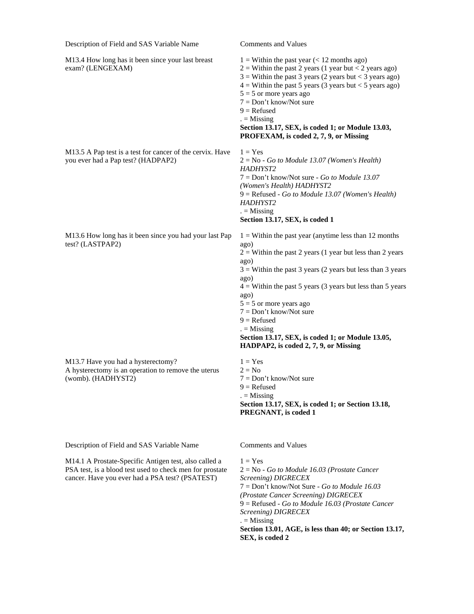| Description of Field and SAS Variable Name                                                                                                                           | <b>Comments and Values</b>                                                                                                                                                                                                                                                                                                                                                                                                                                                     |
|----------------------------------------------------------------------------------------------------------------------------------------------------------------------|--------------------------------------------------------------------------------------------------------------------------------------------------------------------------------------------------------------------------------------------------------------------------------------------------------------------------------------------------------------------------------------------------------------------------------------------------------------------------------|
| M13.4 How long has it been since your last breast<br>exam? (LENGEXAM)                                                                                                | $1 =$ Within the past year (< 12 months ago)<br>$2$ = Within the past 2 years (1 year but < 2 years ago)<br>$3$ = Within the past 3 years (2 years but < 3 years ago)<br>$4 =$ Within the past 5 years (3 years but < 5 years ago)<br>$5 = 5$ or more years ago<br>$7 = Don't know/Not sure$<br>$9 =$ Refused<br>$=$ Missing<br>Section 13.17, SEX, is coded 1; or Module 13.03,<br>PROFEXAM, is coded 2, 7, 9, or Missing                                                     |
| M13.5 A Pap test is a test for cancer of the cervix. Have<br>you ever had a Pap test? (HADPAP2)                                                                      | $1 = Yes$<br>$2 = No - Go$ to Module 13.07 (Women's Health)<br>HADHYST2<br>$7 = Don't know/Not sure - Go to Module 13.07$<br>(Women's Health) HADHYST2<br>$9 =$ Refused - Go to Module 13.07 (Women's Health)<br>HADHYST2<br>$=$ Missing<br>Section 13.17, SEX, is coded 1                                                                                                                                                                                                     |
| M13.6 How long has it been since you had your last Pap<br>test? (LASTPAP2)                                                                                           | $1 =$ Within the past year (anytime less than 12 months)<br>ago)<br>$2 =$ Within the past 2 years (1 year but less than 2 years<br>ago)<br>$3$ = Within the past 3 years (2 years but less than 3 years<br>ago)<br>$4 =$ Within the past 5 years (3 years but less than 5 years<br>ago)<br>$5 = 5$ or more years ago<br>$7 = Don't know/Not sure$<br>$9 =$ Refused<br>$=$ Missing<br>Section 13.17, SEX, is coded 1; or Module 13.05,<br>HADPAP2, is coded 2, 7, 9, or Missing |
| M13.7 Have you had a hysterectomy?<br>A hysterectomy is an operation to remove the uterus<br>(womb). (HADHYST2)                                                      | $1 = Yes$<br>$2 = No$<br>$7 = Don't know/Not sure$<br>$9 =$ Refused<br>$=$ Missing<br>Section 13.17, SEX, is coded 1; or Section 13.18,<br>PREGNANT, is coded 1                                                                                                                                                                                                                                                                                                                |
| Description of Field and SAS Variable Name                                                                                                                           | <b>Comments and Values</b>                                                                                                                                                                                                                                                                                                                                                                                                                                                     |
| M14.1 A Prostate-Specific Antigen test, also called a<br>PSA test, is a blood test used to check men for prostate<br>cancer. Have you ever had a PSA test? (PSATEST) | $1 = Yes$<br>$2 = No - Go$ to Module 16.03 (Prostate Cancer<br>Screening) DIGRECEX<br>$7 = Don't know/Not Sure - Go to Module 16.03$<br>(Prostate Cancer Screening) DIGRECEX<br>$9$ = Refused - Go to Module 16.03 (Prostate Cancer                                                                                                                                                                                                                                            |

 $. =$  Missing **Section 13.01, AGE, is less than 40; or Section 13.17, SEX, is coded 2**

*Screening) DIGRECEX*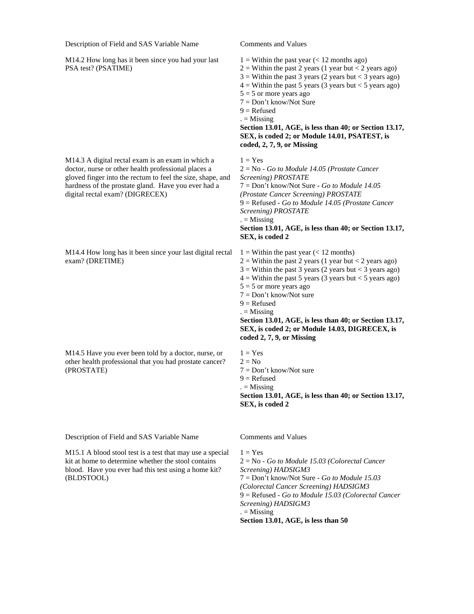M14.2 How long has it been since you had your last PSA test? (PSATIME)

M14.3 A digital rectal exam is an exam in which a doctor, nurse or other health professional places a gloved finger into the rectum to feel the size, shape, and hardness of the prostate gland. Have you ever had a digital rectal exam? (DIGRECEX)

M14.4 How long has it been since your last digital rectal exam? (DRETIME)

M14.5 Have you ever been told by a doctor, nurse, or other health professional that you had prostate cancer? (PROSTATE)

Description of Field and SAS Variable Name Comments and Values

M15.1 A blood stool test is a test that may use a special kit at home to determine whether the stool contains blood. Have you ever had this test using a home kit? (BLDSTOOL)

 $1 =$  Within the past year (< 12 months ago)

- $2 =$  Within the past 2 years (1 year but < 2 years ago)
- $3 =$  Within the past 3 years (2 years but < 3 years ago)
- $4 =$  Within the past 5 years (3 years but < 5 years ago)
- $5 = 5$  or more years ago
- 7 = Don't know/Not Sure
- $9 =$ Refused
- $. =$  Missing

**Section 13.01, AGE, is less than 40; or Section 13.17, SEX, is coded 2; or Module 14.01, PSATEST, is coded, 2, 7, 9, or Missing**

 $1 = Yes$ 

- 2 = No *Go to Module 14.05 (Prostate Cancer Screening) PROSTATE* 7 = Don't know/Not Sure - *Go to Module 14.05 (Prostate Cancer Screening) PROSTATE* 9 = Refused - *Go to Module 14.05 (Prostate Cancer Screening) PROSTATE*  $. =$  Missing **Section 13.01, AGE, is less than 40; or Section 13.17, SEX, is coded 2**
- $1 =$  Within the past year (< 12 months)
- $2 =$  Within the past 2 years (1 year but < 2 years ago)
- $3 =$  Within the past 3 years (2 years but < 3 years ago)
- $4 =$  Within the past 5 years (3 years but < 5 years ago)
- $5 = 5$  or more years ago
- 7 = Don't know/Not sure
- $9 =$  Refused
- $. =$  Missing

**Section 13.01, AGE, is less than 40; or Section 13.17, SEX, is coded 2; or Module 14.03, DIGRECEX, is coded 2, 7, 9, or Missing**

 $1 = Yes$  $2 = No$ 7 = Don't know/Not sure  $9 =$ Refused

 $. =$  Missing

**Section 13.01, AGE, is less than 40; or Section 13.17, SEX, is coded 2**

 $1 = Yes$ 2 = No - *Go to Module 15.03 (Colorectal Cancer Screening) HADSIGM3* 7 = Don't know/Not Sure - *Go to Module 15.03 (Colorectal Cancer Screening) HADSIGM3* 9 = Refused - *Go to Module 15.03 (Colorectal Cancer Screening) HADSIGM3*  $. =$  Missing **Section 13.01, AGE, is less than 50**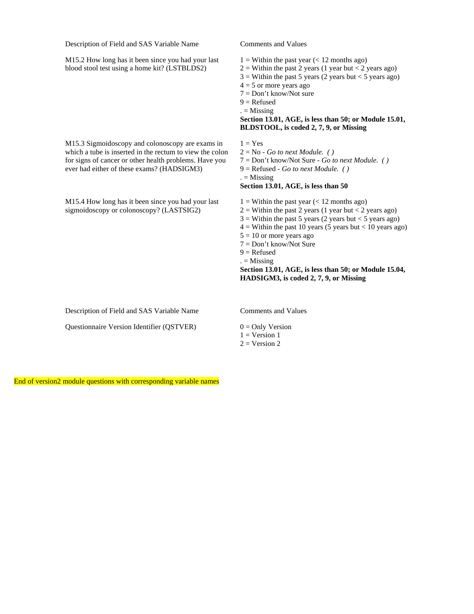M15.2 How long has it been since you had your last blood stool test using a home kit? (LSTBLDS2)

M15.3 Sigmoidoscopy and colonoscopy are exams in which a tube is inserted in the rectum to view the colon for signs of cancer or other health problems. Have you ever had either of these exams? (HADSIGM3)

M15.4 How long has it been since you had your last sigmoidoscopy or colonoscopy? (LASTSIG2)

 $1 =$  Within the past year (< 12 months ago)

- $2 =$  Within the past 2 years (1 year but < 2 years ago)
- $3 =$  Within the past 5 years (2 years but < 5 years ago)
- $4 = 5$  or more years ago
- 7 = Don't know/Not sure
- $9 =$ Refused
- $. =$  Missing

### **Section 13.01, AGE, is less than 50; or Module 15.01, BLDSTOOL, is coded 2, 7, 9, or Missing**

 $1 = Yes$ 2 = No - *Go to next Module. ( )*

7 = Don't know/Not Sure - *Go to next Module. ( )*

9 = Refused - *Go to next Module. ( )*

#### $. =$  Missing **Section 13.01, AGE, is less than 50**

 $1 =$  Within the past year (< 12 months ago)

- $2 =$  Within the past 2 years (1 year but < 2 years ago)
- $3 =$  Within the past 5 years (2 years but < 5 years ago)
- $4 =$  Within the past 10 years (5 years but < 10 years ago)
- $5 = 10$  or more years ago
- 7 = Don't know/Not Sure
- $9 =$ Refused
- $. =$  Missing

**Section 13.01, AGE, is less than 50; or Module 15.04, HADSIGM3, is coded 2, 7, 9, or Missing**

Description of Field and SAS Variable Name Comments and Values

Questionnaire Version Identifier (QSTVER)  $0 =$  Only Version

 $1 = Version 1$  $2 = Version 2$ 

End of version2 module questions with corresponding variable names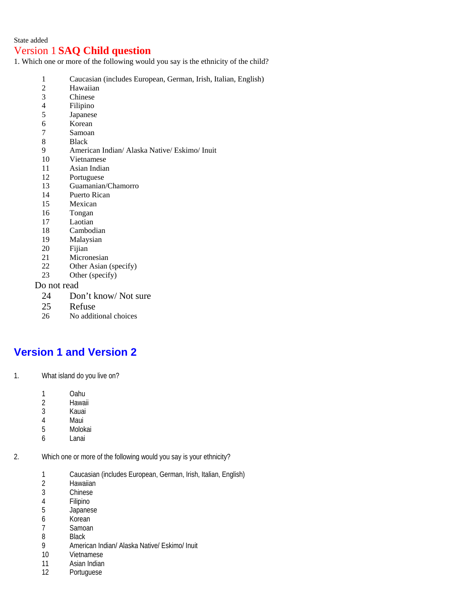### State added

## Version 1 **SAQ Child question**

1. Which one or more of the following would you say is the ethnicity of the child?

- 1 Caucasian (includes European, German, Irish, Italian, English)
- 2 Hawaiian
- 3 Chinese
- 4 Filipino
- 5 Japanese
- 6 Korean<br>7 Samoan
- **Samoan**
- 8 Black<br>9 Ameri
- 9 American Indian/ Alaska Native/ Eskimo/ Inuit
- 10 Vietnamese
- 11 Asian Indian
- 12 Portuguese
- 13 Guamanian/Chamorro
- 14 Puerto Rican
- 15 Mexican
- 16 Tongan
- 17 Laotian
- 18 Cambodian
- 19 Malaysian
- 
- 20 Fijian<br>21 Micro Micronesian
- 22 Other Asian (specify)
- 23 Other (specify)

### Do not read

- 24 Don't know/ Not sure
- 25 Refuse
- 26 No additional choices

# **Version 1 and Version 2**

- 1. What island do you live on?
	- 1 Oahu<br>2 Hawa
	- 2 Hawaii<br>3 Kauai
	- **Kauai**
	- 4 Maui<br>5 Molol
	- **Molokai**
	- 6 Lanai
- 2. Which one or more of the following would you say is your ethnicity?
	- 1 Caucasian (includes European, German, Irish, Italian, English)
	- 2 Hawaiian<br>3 Chinese
	- **Chinese**
	- 4 Filipino
	- 5 Japanese
	- 6 Korean
	- 7 Samoan<br>8 Black
	- 8 Black<br>9 Ameri
	- 9 American Indian/ Alaska Native/ Eskimo/ Inuit
	- 10 Vietnamese
	- 11 Asian Indian
	- 12 Portuguese